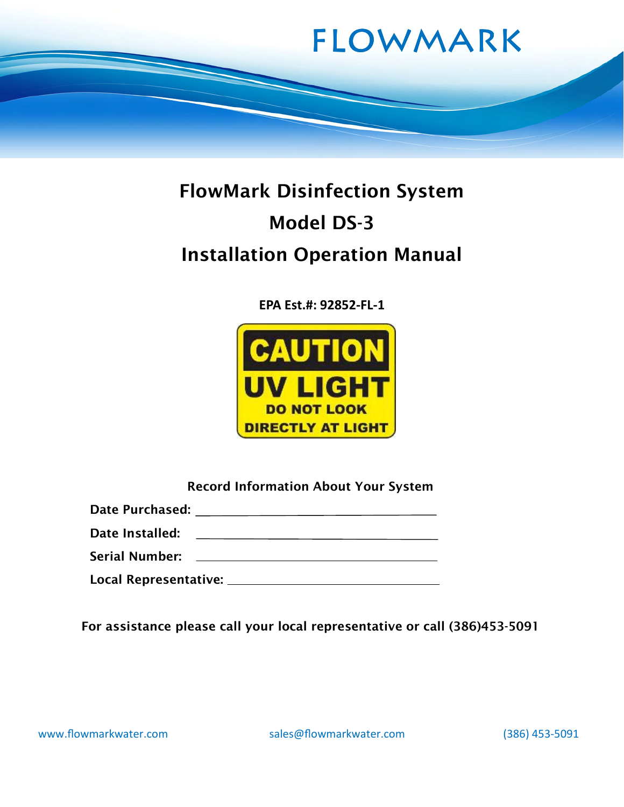

# FlowMark Disinfection System Model DS-3 Installation Operation Manual

EPA Est.#: 92852-FL-1



| <b>Record Information About Your System</b> |  |  |
|---------------------------------------------|--|--|
|---------------------------------------------|--|--|

| <b>Date Purchased:</b> |  |
|------------------------|--|
|                        |  |

<u> 1989 - Johann Barn, mars eta bainar eta idazlea (</u> Date Installed:

Serial Number:

Local Representative:

For assistance please call your local representative or call (386)453-5091

www.flowmarkwater.com sales@flowmarkwater.com (386) 453-5091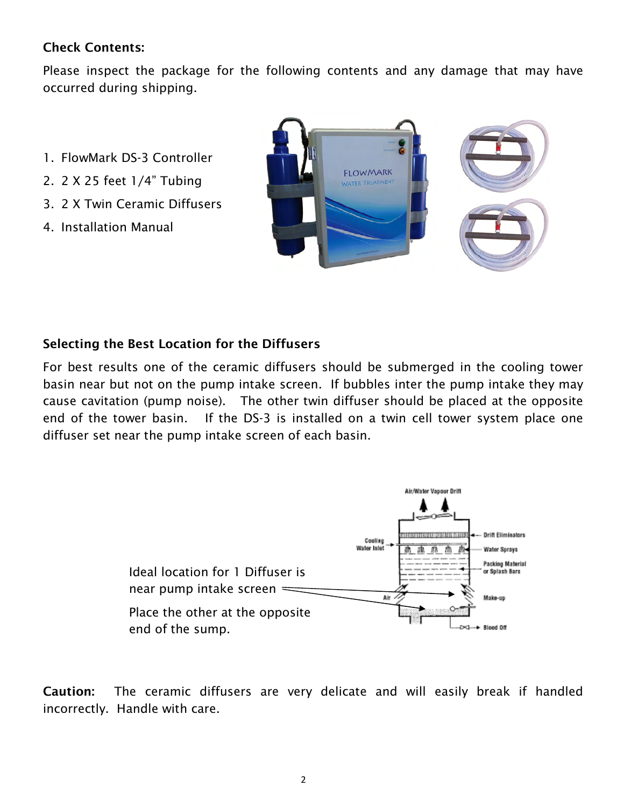#### Check Contents:

Please inspect the package for the following contents and any damage that may have occurred during shipping.

- 1. FlowMark DS-3 Controller
- 2. 2 X 25 feet 1/4" Tubing
- 3. 2 X Twin Ceramic Diffusers
- 4. Installation Manual



#### Selecting the Best Location for the Diffusers

For best results one of the ceramic diffusers should be submerged in the cooling tower basin near but not on the pump intake screen. If bubbles inter the pump intake they may cause cavitation (pump noise). The other twin diffuser should be placed at the opposite end of the tower basin. If the DS-3 is installed on a twin cell tower system place one diffuser set near the pump intake screen of each basin.



Caution: The ceramic diffusers are very delicate and will easily break if handled incorrectly. Handle with care.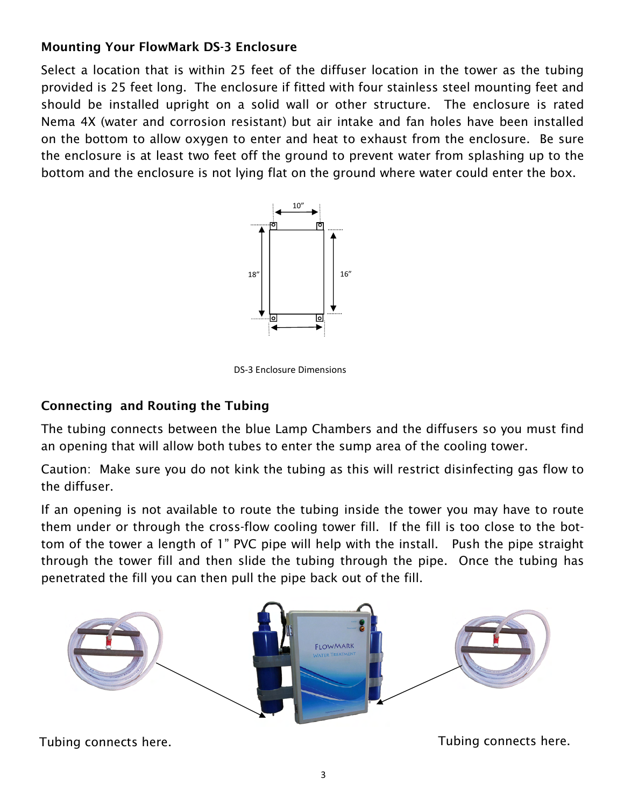# Mounting Your FlowMark DS-3 Enclosure

Select a location that is within 25 feet of the diffuser location in the tower as the tubing provided is 25 feet long. The enclosure if fitted with four stainless steel mounting feet and should be installed upright on a solid wall or other structure. The enclosure is rated Nema 4X (water and corrosion resistant) but air intake and fan holes have been installed on the bottom to allow oxygen to enter and heat to exhaust from the enclosure. Be sure the enclosure is at least two feet off the ground to prevent water from splashing up to the bottom and the enclosure is not lying flat on the ground where water could enter the box.



DS-3 Enclosure Dimensions

# Connecting and Routing the Tubing

The tubing connects between the blue Lamp Chambers and the diffusers so you must find an opening that will allow both tubes to enter the sump area of the cooling tower.

Caution: Make sure you do not kink the tubing as this will restrict disinfecting gas flow to the diffuser.

If an opening is not available to route the tubing inside the tower you may have to route them under or through the cross-flow cooling tower fill. If the fill is too close to the bottom of the tower a length of 1" PVC pipe will help with the install. Push the pipe straight through the tower fill and then slide the tubing through the pipe. Once the tubing has penetrated the fill you can then pull the pipe back out of the fill.



Tubing connects here.

Tubing connects here.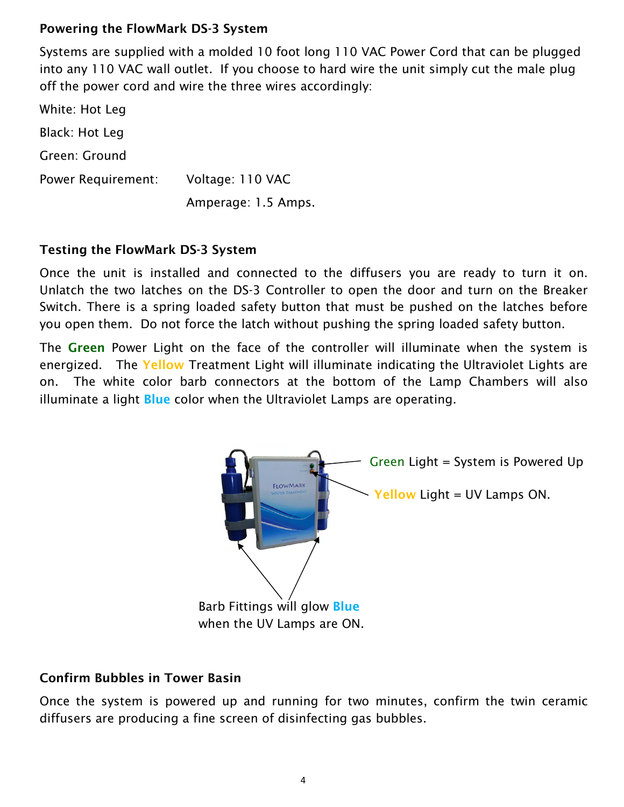#### Powering the FlowMark DS-3 System

Systems are supplied with a molded 10 foot long 110 VAC Power Cord that can be plugged into any 110 VAC wall outlet. If you choose to hard wire the unit simply cut the male plug off the power cord and wire the three wires accordingly:

White: Hot Leg Black: Hot Leg Green: Ground Power Requirement: Voltage: 110 VAC Amperage: 1.5 Amps.

#### Testing the FlowMark DS-3 System

Once the unit is installed and connected to the diffusers you are ready to turn it on. Unlatch the two latches on the DS-3 Controller to open the door and turn on the Breaker Switch. There is a spring loaded safety button that must be pushed on the latches before you open them. Do not force the latch without pushing the spring loaded safety button.

The Green Power Light on the face of the controller will illuminate when the system is energized. The Yellow Treatment Light will illuminate indicating the Ultraviolet Lights are on. The white color barb connectors at the bottom of the Lamp Chambers will also illuminate a light **Blue** color when the Ultraviolet Lamps are operating.



#### Confirm Bubbles in Tower Basin

Once the system is powered up and running for two minutes, confirm the twin ceramic diffusers are producing a fine screen of disinfecting gas bubbles.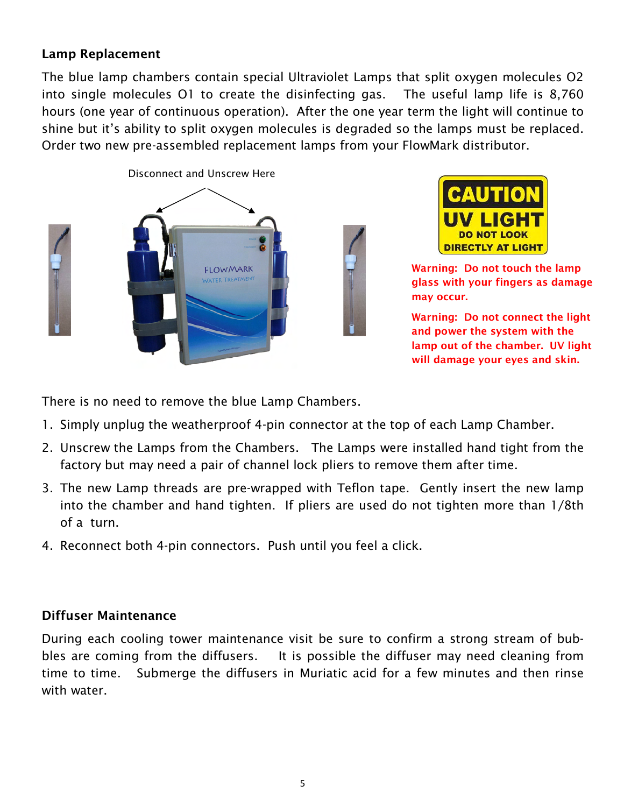#### Lamp Replacement

The blue lamp chambers contain special Ultraviolet Lamps that split oxygen molecules O2 into single molecules O1 to create the disinfecting gas. The useful lamp life is 8,760 hours (one year of continuous operation). After the one year term the light will continue to shine but it's ability to split oxygen molecules is degraded so the lamps must be replaced. Order two new pre-assembled replacement lamps from your FlowMark distributor.





Warning: Do not touch the lamp glass with your fingers as damage may occur.

Warning: Do not connect the light and power the system with the lamp out of the chamber. UV light will damage your eyes and skin.

There is no need to remove the blue Lamp Chambers.

- 1. Simply unplug the weatherproof 4-pin connector at the top of each Lamp Chamber.
- 2. Unscrew the Lamps from the Chambers. The Lamps were installed hand tight from the factory but may need a pair of channel lock pliers to remove them after time.
- 3. The new Lamp threads are pre-wrapped with Teflon tape. Gently insert the new lamp into the chamber and hand tighten. If pliers are used do not tighten more than 1/8th of a turn.
- 4. Reconnect both 4-pin connectors. Push until you feel a click.

#### Diffuser Maintenance

During each cooling tower maintenance visit be sure to confirm a strong stream of bubbles are coming from the diffusers. It is possible the diffuser may need cleaning from time to time. Submerge the diffusers in Muriatic acid for a few minutes and then rinse with water.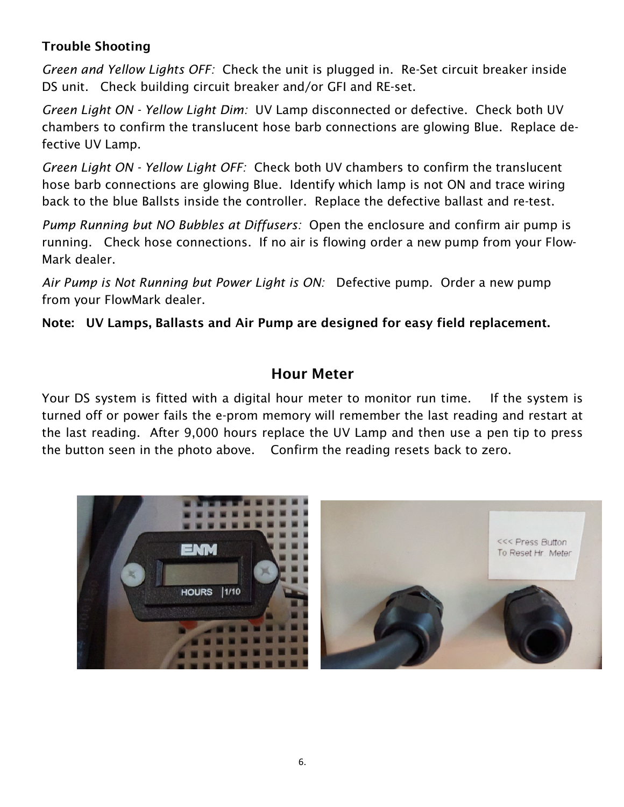# Trouble Shooting

Green and Yellow Lights OFF: Check the unit is plugged in. Re-Set circuit breaker inside DS unit. Check building circuit breaker and/or GFI and RE-set.

Green Light ON - Yellow Light Dim: UV Lamp disconnected or defective. Check both UV chambers to confirm the translucent hose barb connections are glowing Blue. Replace defective UV Lamp.

Green Light ON - Yellow Light OFF: Check both UV chambers to confirm the translucent hose barb connections are glowing Blue. Identify which lamp is not ON and trace wiring back to the blue Ballsts inside the controller. Replace the defective ballast and re-test.

Pump Running but NO Bubbles at Diffusers: Open the enclosure and confirm air pump is running. Check hose connections. If no air is flowing order a new pump from your Flow-Mark dealer.

Air Pump is Not Running but Power Light is ON: Defective pump. Order a new pump from your FlowMark dealer.

Note: UV Lamps, Ballasts and Air Pump are designed for easy field replacement.

# Hour Meter

Your DS system is fitted with a digital hour meter to monitor run time. If the system is turned off or power fails the e-prom memory will remember the last reading and restart at the last reading. After 9,000 hours replace the UV Lamp and then use a pen tip to press the button seen in the photo above. Confirm the reading resets back to zero.